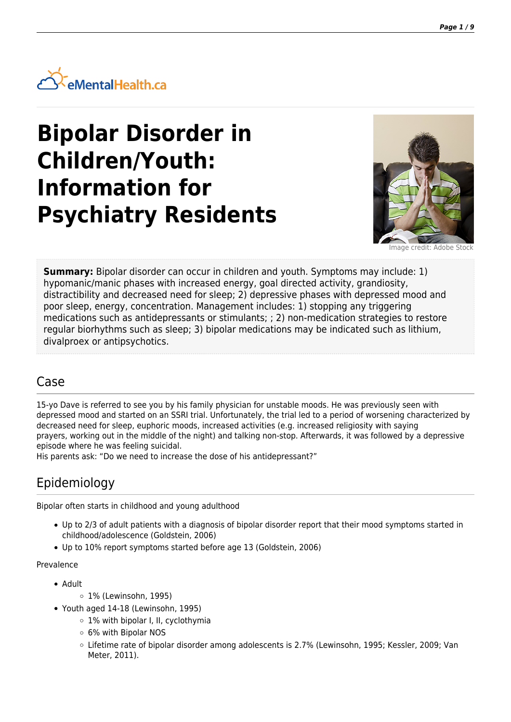

# **Bipolar Disorder in Children/Youth: Information for Psychiatry Residents**



Image credit: Adobe Stock

**Summary:** Bipolar disorder can occur in children and youth. Symptoms may include: 1) hypomanic/manic phases with increased energy, goal directed activity, grandiosity, distractibility and decreased need for sleep; 2) depressive phases with depressed mood and poor sleep, energy, concentration. Management includes: 1) stopping any triggering medications such as antidepressants or stimulants; ; 2) non-medication strategies to restore regular biorhythms such as sleep; 3) bipolar medications may be indicated such as lithium, divalproex or antipsychotics.

### Case

15-yo Dave is referred to see you by his family physician for unstable moods. He was previously seen with depressed mood and started on an SSRI trial. Unfortunately, the trial led to a period of worsening characterized by decreased need for sleep, euphoric moods, increased activities (e.g. increased religiosity with saying prayers, working out in the middle of the night) and talking non-stop. Afterwards, it was followed by a depressive episode where he was feeling suicidal.

His parents ask: "Do we need to increase the dose of his antidepressant?"

# Epidemiology

Bipolar often starts in childhood and young adulthood

- Up to 2/3 of adult patients with a diagnosis of bipolar disorder report that their mood symptoms started in childhood/adolescence (Goldstein, 2006)
- Up to 10% report symptoms started before age 13 (Goldstein, 2006)

#### Prevalence

- Adult
	- 1% (Lewinsohn, 1995)
- Youth aged 14-18 (Lewinsohn, 1995)
	- 1% with bipolar I, II, cyclothymia
	- 6% with Bipolar NOS
	- Lifetime rate of bipolar disorder among adolescents is 2.7% (Lewinsohn, 1995; Kessler, 2009; Van Meter, 2011).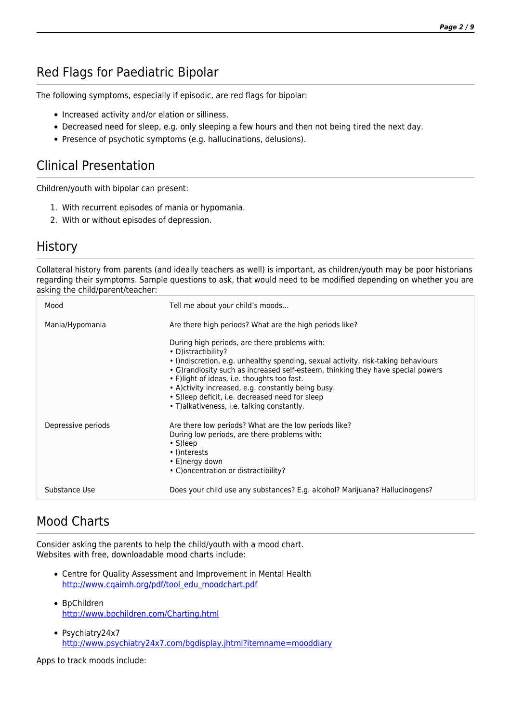# Red Flags for Paediatric Bipolar

The following symptoms, especially if episodic, are red flags for bipolar:

- Increased activity and/or elation or silliness.
- Decreased need for sleep, e.g. only sleeping a few hours and then not being tired the next day.
- Presence of psychotic symptoms (e.g. hallucinations, delusions).

# Clinical Presentation

Children/youth with bipolar can present:

- 1. With recurrent episodes of mania or hypomania.
- 2. With or without episodes of depression.

#### **History**

Collateral history from parents (and ideally teachers as well) is important, as children/youth may be poor historians regarding their symptoms. Sample questions to ask, that would need to be modified depending on whether you are asking the child/parent/teacher:

| Mood               | Tell me about your child's moods                                                                                                                                                                                                                                                                                                                                                                                                                        |
|--------------------|---------------------------------------------------------------------------------------------------------------------------------------------------------------------------------------------------------------------------------------------------------------------------------------------------------------------------------------------------------------------------------------------------------------------------------------------------------|
| Mania/Hypomania    | Are there high periods? What are the high periods like?                                                                                                                                                                                                                                                                                                                                                                                                 |
|                    | During high periods, are there problems with:<br>• D)istractibility?<br>• I) ndiscretion, e.g. unhealthy spending, sexual activity, risk-taking behaviours<br>• G) randiosity such as increased self-esteem, thinking they have special powers<br>• F)light of ideas, i.e. thoughts too fast.<br>• A) ctivity increased, e.g. constantly being busy.<br>• S) leep deficit, i.e. decreased need for sleep<br>• T) alkativeness, i.e. talking constantly. |
| Depressive periods | Are there low periods? What are the low periods like?<br>During low periods, are there problems with:<br>$\cdot$ S) leep<br>• I) nterests<br>• E)nergy down<br>• C) oncentration or distractibility?                                                                                                                                                                                                                                                    |
| Substance Use      | Does your child use any substances? E.g. alcohol? Marijuana? Hallucinogens?                                                                                                                                                                                                                                                                                                                                                                             |

## Mood Charts

Consider asking the parents to help the child/youth with a mood chart. Websites with free, downloadable mood charts include:

- Centre for Quality Assessment and Improvement in Mental Health [http://www.cqaimh.org/pdf/tool\\_edu\\_moodchart.pdf](http://www.cqaimh.org/pdf/tool_edu_moodchart.pdf)
- BpChildren <http://www.bpchildren.com/Charting.html>
- Psychiatry24x7 <http://www.psychiatry24x7.com/bgdisplay.jhtml?itemname=mooddiary>

Apps to track moods include: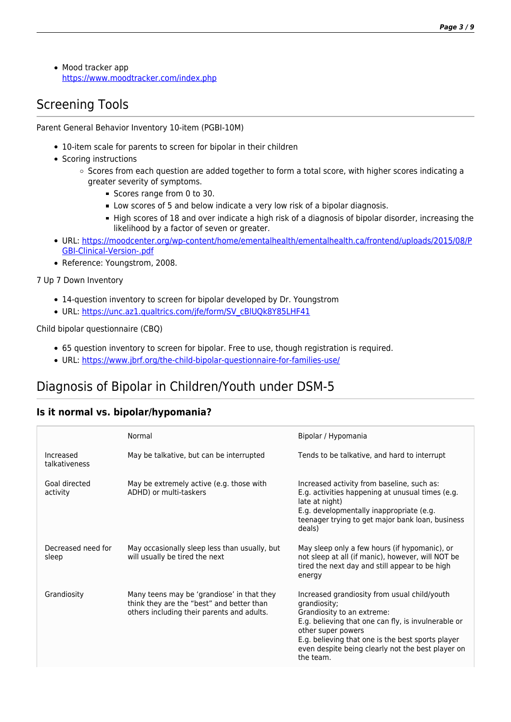• Mood tracker app <https://www.moodtracker.com/index.php>

# Screening Tools

Parent General Behavior Inventory 10-item (PGBI-10M)

- 10-item scale for parents to screen for bipolar in their children
- Scoring instructions
	- $\circ$  Scores from each question are added together to form a total score, with higher scores indicating a greater severity of symptoms.
		- Scores range from 0 to 30.
		- Low scores of 5 and below indicate a very low risk of a bipolar diagnosis.
		- High scores of 18 and over indicate a high risk of a diagnosis of bipolar disorder, increasing the likelihood by a factor of seven or greater.
- URL: [https://moodcenter.org/wp-content/home/ementalhealth/ementalhealth.ca/frontend/uploads/2015/08/P](https://moodcenter.org/wp-content/home/ementalhealth/ementalhealth.ca/frontend/uploads/2015/08/PGBI-Clinical-Version-.pdf) [GBI-Clinical-Version-.pdf](https://moodcenter.org/wp-content/home/ementalhealth/ementalhealth.ca/frontend/uploads/2015/08/PGBI-Clinical-Version-.pdf)
- Reference: Youngstrom, 2008.

7 Up 7 Down Inventory

- 14-question inventory to screen for bipolar developed by Dr. Youngstrom
- · URL: [https://unc.az1.qualtrics.com/jfe/form/SV\\_cBlUQk8Y85LHF41](https://unc.az1.qualtrics.com/jfe/form/SV_cBlUQk8Y85LHF41)

#### Child bipolar questionnaire (CBQ)

- 65 question inventory to screen for bipolar. Free to use, though registration is required.
- URL: <https://www.jbrf.org/the-child-bipolar-questionnaire-for-families-use/>

# Diagnosis of Bipolar in Children/Youth under DSM-5

#### **Is it normal vs. bipolar/hypomania?**

|                             | Normal                                                                                                                                | Bipolar / Hypomania                                                                                                                                                                                                                                                                            |
|-----------------------------|---------------------------------------------------------------------------------------------------------------------------------------|------------------------------------------------------------------------------------------------------------------------------------------------------------------------------------------------------------------------------------------------------------------------------------------------|
| Increased<br>talkativeness  | May be talkative, but can be interrupted                                                                                              | Tends to be talkative, and hard to interrupt                                                                                                                                                                                                                                                   |
| Goal directed<br>activity   | May be extremely active (e.g. those with<br>ADHD) or multi-taskers                                                                    | Increased activity from baseline, such as:<br>E.g. activities happening at unusual times (e.g.<br>late at night)<br>E.g. developmentally inappropriate (e.g.<br>teenager trying to get major bank loan, business<br>deals)                                                                     |
| Decreased need for<br>sleep | May occasionally sleep less than usually, but<br>will usually be tired the next                                                       | May sleep only a few hours (if hypomanic), or<br>not sleep at all (if manic), however, will NOT be<br>tired the next day and still appear to be high<br>energy                                                                                                                                 |
| Grandiosity                 | Many teens may be 'grandiose' in that they<br>think they are the "best" and better than<br>others including their parents and adults. | Increased grandiosity from usual child/youth<br>grandiosity;<br>Grandiosity to an extreme:<br>E.g. believing that one can fly, is invulnerable or<br>other super powers<br>E.g. believing that one is the best sports player<br>even despite being clearly not the best player on<br>the team. |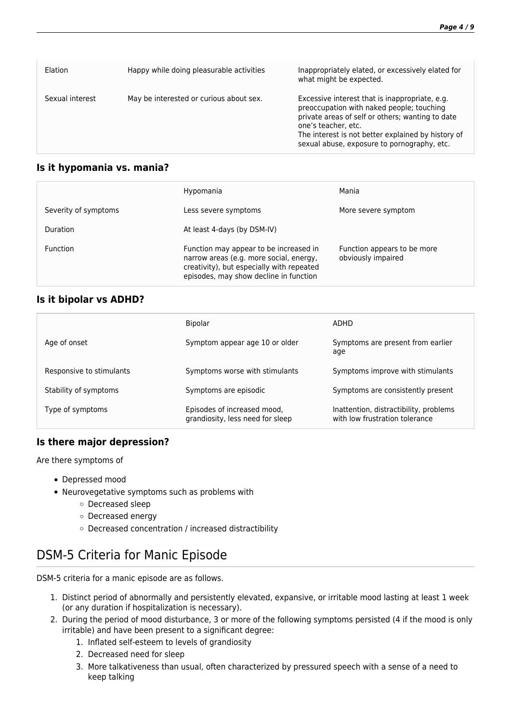| Flation         | Happy while doing pleasurable activities | Inappropriately elated, or excessively elated for<br>what might be expected.                                                                                                                                                                                                |
|-----------------|------------------------------------------|-----------------------------------------------------------------------------------------------------------------------------------------------------------------------------------------------------------------------------------------------------------------------------|
| Sexual interest | May be interested or curious about sex.  | Excessive interest that is inappropriate, e.g.<br>preoccupation with naked people; touching<br>private areas of self or others; wanting to date<br>one's teacher, etc.<br>The interest is not better explained by history of<br>sexual abuse, exposure to pornography, etc. |

#### **Is it hypomania vs. mania?**

|                      | Hypomania                                                                                                                                                                | Mania                                             |
|----------------------|--------------------------------------------------------------------------------------------------------------------------------------------------------------------------|---------------------------------------------------|
| Severity of symptoms | Less severe symptoms                                                                                                                                                     | More severe symptom                               |
| Duration             | At least 4-days (by DSM-IV)                                                                                                                                              |                                                   |
| <b>Function</b>      | Function may appear to be increased in<br>narrow areas (e.g. more social, energy,<br>creativity), but especially with repeated<br>episodes, may show decline in function | Function appears to be more<br>obviously impaired |

#### **Is it bipolar vs ADHD?**

|                          | <b>Bipolar</b>                                                  | ADHD                                                                     |
|--------------------------|-----------------------------------------------------------------|--------------------------------------------------------------------------|
| Age of onset             | Symptom appear age 10 or older                                  | Symptoms are present from earlier<br>age                                 |
| Responsive to stimulants | Symptoms worse with stimulants                                  | Symptoms improve with stimulants                                         |
| Stability of symptoms    | Symptoms are episodic                                           | Symptoms are consistently present                                        |
| Type of symptoms         | Episodes of increased mood,<br>grandiosity, less need for sleep | Inattention, distractibility, problems<br>with low frustration tolerance |

#### **Is there major depression?**

Are there symptoms of

- Depressed mood
- Neurovegetative symptoms such as problems with
	- Decreased sleep
	- Decreased energy
	- Decreased concentration / increased distractibility

## DSM-5 Criteria for Manic Episode

DSM-5 criteria for a manic episode are as follows.

- 1. Distinct period of abnormally and persistently elevated, expansive, or irritable mood lasting at least 1 week (or any duration if hospitalization is necessary).
- 2. During the period of mood disturbance, 3 or more of the following symptoms persisted (4 if the mood is only irritable) and have been present to a significant degree:
	- 1. Inflated self-esteem to levels of grandiosity
	- 2. Decreased need for sleep
	- 3. More talkativeness than usual, often characterized by pressured speech with a sense of a need to keep talking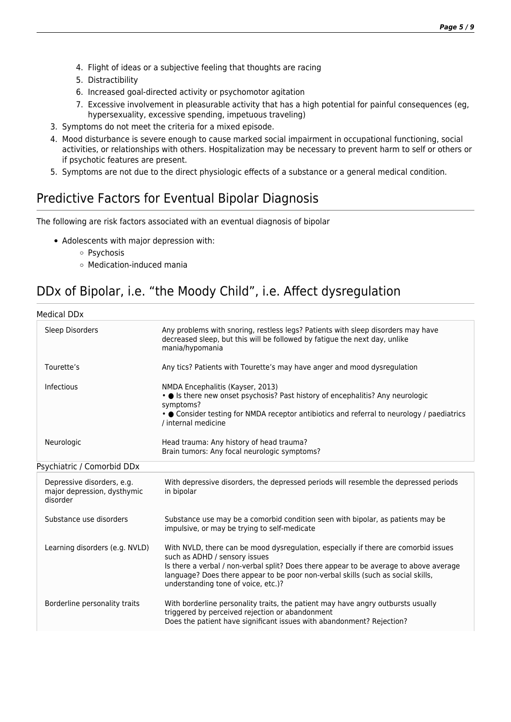- 4. Flight of ideas or a subjective feeling that thoughts are racing
- 5. Distractibility
- 6. Increased goal-directed activity or psychomotor agitation
- 7. Excessive involvement in pleasurable activity that has a high potential for painful consequences (eg, hypersexuality, excessive spending, impetuous traveling)
- 3. Symptoms do not meet the criteria for a mixed episode.
- 4. Mood disturbance is severe enough to cause marked social impairment in occupational functioning, social activities, or relationships with others. Hospitalization may be necessary to prevent harm to self or others or if psychotic features are present.
- 5. Symptoms are not due to the direct physiologic effects of a substance or a general medical condition.

# Predictive Factors for Eventual Bipolar Diagnosis

The following are risk factors associated with an eventual diagnosis of bipolar

- Adolescents with major depression with:
	- Psychosis
	- Medication-induced mania

# DDx of Bipolar, i.e. "the Moody Child", i.e. Affect dysregulation

Medical DDx

| Sleep Disorders                                                       | Any problems with snoring, restless legs? Patients with sleep disorders may have<br>decreased sleep, but this will be followed by fatigue the next day, unlike<br>mania/hypomania                                                                                                                                                         |
|-----------------------------------------------------------------------|-------------------------------------------------------------------------------------------------------------------------------------------------------------------------------------------------------------------------------------------------------------------------------------------------------------------------------------------|
| Tourette's                                                            | Any tics? Patients with Tourette's may have anger and mood dysregulation                                                                                                                                                                                                                                                                  |
| Infectious                                                            | NMDA Encephalitis (Kayser, 2013)<br>• Is there new onset psychosis? Past history of encephalitis? Any neurologic<br>symptoms?<br>• Oconsider testing for NMDA receptor antibiotics and referral to neurology / paediatrics<br>/ internal medicine                                                                                         |
| Neurologic                                                            | Head trauma: Any history of head trauma?<br>Brain tumors: Any focal neurologic symptoms?                                                                                                                                                                                                                                                  |
| Psychiatric / Comorbid DDx                                            |                                                                                                                                                                                                                                                                                                                                           |
| Depressive disorders, e.g.<br>major depression, dysthymic<br>disorder | With depressive disorders, the depressed periods will resemble the depressed periods<br>in bipolar                                                                                                                                                                                                                                        |
| Substance use disorders                                               | Substance use may be a comorbid condition seen with bipolar, as patients may be<br>impulsive, or may be trying to self-medicate                                                                                                                                                                                                           |
| Learning disorders (e.g. NVLD)                                        | With NVLD, there can be mood dysregulation, especially if there are comorbid issues<br>such as ADHD / sensory issues<br>Is there a verbal / non-verbal split? Does there appear to be average to above average<br>language? Does there appear to be poor non-verbal skills (such as social skills,<br>understanding tone of voice, etc.)? |
| Borderline personality traits                                         | With borderline personality traits, the patient may have angry outbursts usually<br>triggered by perceived rejection or abandonment<br>Does the patient have significant issues with abandonment? Rejection?                                                                                                                              |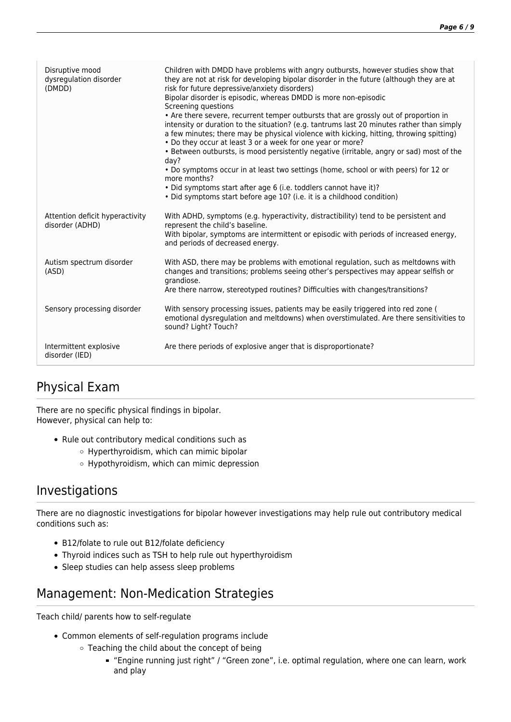| Disruptive mood<br>dysregulation disorder<br>(DMDD) | Children with DMDD have problems with angry outbursts, however studies show that<br>they are not at risk for developing bipolar disorder in the future (although they are at<br>risk for future depressive/anxiety disorders)<br>Bipolar disorder is episodic, whereas DMDD is more non-episodic<br>Screening questions<br>• Are there severe, recurrent temper outbursts that are grossly out of proportion in<br>intensity or duration to the situation? (e.g. tantrums last 20 minutes rather than simply<br>a few minutes; there may be physical violence with kicking, hitting, throwing spitting)<br>• Do they occur at least 3 or a week for one year or more?<br>• Between outbursts, is mood persistently negative (irritable, angry or sad) most of the<br>day?<br>• Do symptoms occur in at least two settings (home, school or with peers) for 12 or<br>more months?<br>• Did symptoms start after age 6 (i.e. toddlers cannot have it)?<br>• Did symptoms start before age 10? (i.e. it is a childhood condition) |
|-----------------------------------------------------|--------------------------------------------------------------------------------------------------------------------------------------------------------------------------------------------------------------------------------------------------------------------------------------------------------------------------------------------------------------------------------------------------------------------------------------------------------------------------------------------------------------------------------------------------------------------------------------------------------------------------------------------------------------------------------------------------------------------------------------------------------------------------------------------------------------------------------------------------------------------------------------------------------------------------------------------------------------------------------------------------------------------------------|
| Attention deficit hyperactivity<br>disorder (ADHD)  | With ADHD, symptoms (e.g. hyperactivity, distractibility) tend to be persistent and<br>represent the child's baseline.<br>With bipolar, symptoms are intermittent or episodic with periods of increased energy,<br>and periods of decreased energy.                                                                                                                                                                                                                                                                                                                                                                                                                                                                                                                                                                                                                                                                                                                                                                            |
| Autism spectrum disorder<br>(ASD)                   | With ASD, there may be problems with emotional regulation, such as meltdowns with<br>changes and transitions; problems seeing other's perspectives may appear selfish or<br>grandiose.<br>Are there narrow, stereotyped routines? Difficulties with changes/transitions?                                                                                                                                                                                                                                                                                                                                                                                                                                                                                                                                                                                                                                                                                                                                                       |
| Sensory processing disorder                         | With sensory processing issues, patients may be easily triggered into red zone (<br>emotional dysregulation and meltdowns) when overstimulated. Are there sensitivities to<br>sound? Light? Touch?                                                                                                                                                                                                                                                                                                                                                                                                                                                                                                                                                                                                                                                                                                                                                                                                                             |
| Intermittent explosive<br>disorder (IED)            | Are there periods of explosive anger that is disproportionate?                                                                                                                                                                                                                                                                                                                                                                                                                                                                                                                                                                                                                                                                                                                                                                                                                                                                                                                                                                 |

# Physical Exam

There are no specific physical findings in bipolar. However, physical can help to:

- Rule out contributory medical conditions such as
	- Hyperthyroidism, which can mimic bipolar
	- Hypothyroidism, which can mimic depression

## Investigations

There are no diagnostic investigations for bipolar however investigations may help rule out contributory medical conditions such as:

- B12/folate to rule out B12/folate deficiency
- Thyroid indices such as TSH to help rule out hyperthyroidism
- Sleep studies can help assess sleep problems

# Management: Non-Medication Strategies

Teach child/ parents how to self-regulate

- Common elements of self-regulation programs include
	- Teaching the child about the concept of being
		- "Engine running just right" / "Green zone", i.e. optimal regulation, where one can learn, work and play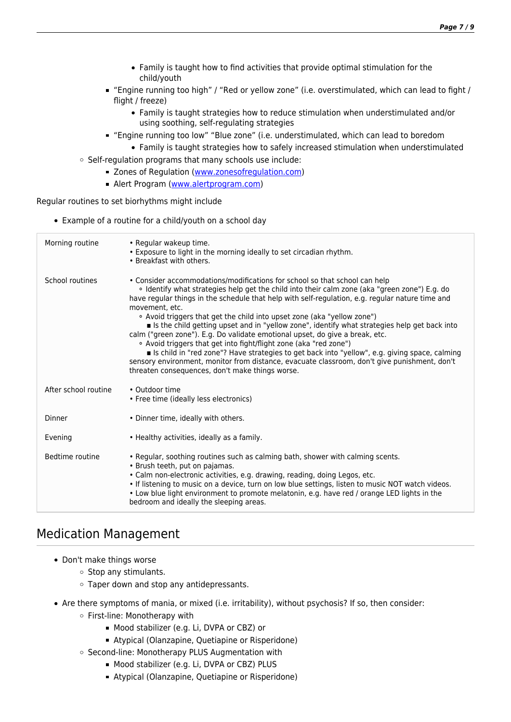- Family is taught how to find activities that provide optimal stimulation for the child/youth
- "Engine running too high" / "Red or yellow zone" (i.e. overstimulated, which can lead to fight / flight / freeze)
	- Family is taught strategies how to reduce stimulation when understimulated and/or using soothing, self-regulating strategies
- "Engine running too low" "Blue zone" (i.e. understimulated, which can lead to boredom
- Family is taught strategies how to safely increased stimulation when understimulated  $\circ$  Self-regulation programs that many schools use include:
	- D Zones of Regulation ([www.zonesofregulation.com](http://www.zonesofregulation.com/index.html))
		- Alert Program ([www.alertprogram.com](http://www.alertprogram.com))

Regular routines to set biorhythms might include

Example of a routine for a child/youth on a school day

| Morning routine      | • Regular wakeup time.<br>. Exposure to light in the morning ideally to set circadian rhythm.<br>• Breakfast with others.                                                                                                                                                                                                                                                                                                                                                                                                                                                                                                                                                                                                                                                                                                                                                               |
|----------------------|-----------------------------------------------------------------------------------------------------------------------------------------------------------------------------------------------------------------------------------------------------------------------------------------------------------------------------------------------------------------------------------------------------------------------------------------------------------------------------------------------------------------------------------------------------------------------------------------------------------------------------------------------------------------------------------------------------------------------------------------------------------------------------------------------------------------------------------------------------------------------------------------|
| School routines      | • Consider accommodations/modifications for school so that school can help<br>. Identify what strategies help get the child into their calm zone (aka "green zone") E.g. do<br>have regular things in the schedule that help with self-regulation, e.g. regular nature time and<br>movement, etc.<br>• Avoid triggers that get the child into upset zone (aka "yellow zone")<br>Is the child getting upset and in "yellow zone", identify what strategies help get back into<br>calm ("green zone"). E.g. Do validate emotional upset, do give a break, etc.<br>• Avoid triggers that get into fight/flight zone (aka "red zone")<br>s Is child in "red zone"? Have strategies to get back into "yellow", e.g. giving space, calming<br>sensory environment, monitor from distance, evacuate classroom, don't give punishment, don't<br>threaten consequences, don't make things worse. |
| After school routine | • Outdoor time<br>• Free time (ideally less electronics)                                                                                                                                                                                                                                                                                                                                                                                                                                                                                                                                                                                                                                                                                                                                                                                                                                |
| Dinner               | • Dinner time, ideally with others.                                                                                                                                                                                                                                                                                                                                                                                                                                                                                                                                                                                                                                                                                                                                                                                                                                                     |
| Evening              | • Healthy activities, ideally as a family.                                                                                                                                                                                                                                                                                                                                                                                                                                                                                                                                                                                                                                                                                                                                                                                                                                              |
| Bedtime routine      | . Regular, soothing routines such as calming bath, shower with calming scents.<br>• Brush teeth, put on pajamas.<br>· Calm non-electronic activities, e.g. drawing, reading, doing Legos, etc.<br>. If listening to music on a device, turn on low blue settings, listen to music NOT watch videos.<br>. Low blue light environment to promote melatonin, e.g. have red / orange LED lights in the<br>bedroom and ideally the sleeping areas.                                                                                                                                                                                                                                                                                                                                                                                                                                           |

### Medication Management

- Don't make things worse
	- $\circ$  Stop any stimulants.
	- Taper down and stop any antidepressants.
- Are there symptoms of mania, or mixed (i.e. irritability), without psychosis? If so, then consider:
	- First-line: Monotherapy with
		- **Mood stabilizer (e.g. Li, DVPA or CBZ) or**
		- Atypical (Olanzapine, Quetiapine or Risperidone)
	- Second-line: Monotherapy PLUS Augmentation with
		- **Mood stabilizer (e.g. Li, DVPA or CBZ) PLUS**
		- Atypical (Olanzapine, Quetiapine or Risperidone)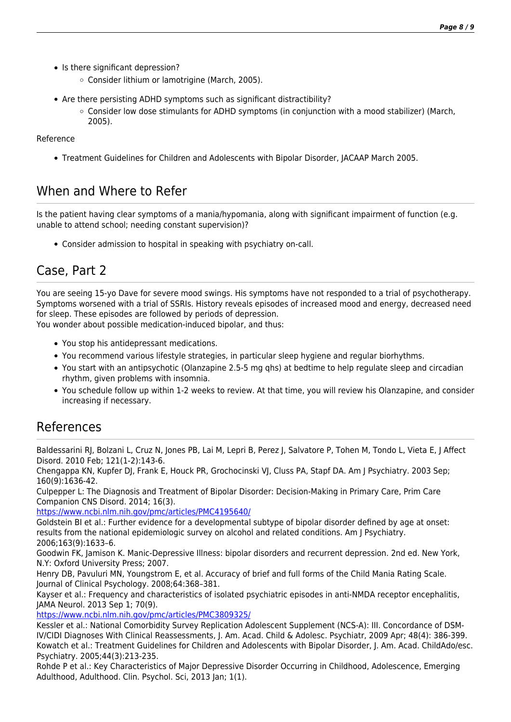- Is there significant depression?
	- Consider lithium or lamotrigine (March, 2005).
- Are there persisting ADHD symptoms such as significant distractibility?
	- $\circ$  Consider low dose stimulants for ADHD symptoms (in conjunction with a mood stabilizer) (March, 2005).

Reference

Treatment Guidelines for Children and Adolescents with Bipolar Disorder, JACAAP March 2005.

## When and Where to Refer

Is the patient having clear symptoms of a mania/hypomania, along with significant impairment of function (e.g. unable to attend school; needing constant supervision)?

Consider admission to hospital in speaking with psychiatry on-call.

# Case, Part 2

You are seeing 15-yo Dave for severe mood swings. His symptoms have not responded to a trial of psychotherapy. Symptoms worsened with a trial of SSRIs. History reveals episodes of increased mood and energy, decreased need for sleep. These episodes are followed by periods of depression. You wonder about possible medication-induced bipolar, and thus:

You stop his antidepressant medications.

- You recommend various lifestyle strategies, in particular sleep hygiene and regular biorhythms.
- You start with an antipsychotic (Olanzapine 2.5-5 mg qhs) at bedtime to help regulate sleep and circadian rhythm, given problems with insomnia.
- You schedule follow up within 1-2 weeks to review. At that time, you will review his Olanzapine, and consider increasing if necessary.

### References

Baldessarini RJ, Bolzani L, Cruz N, Jones PB, Lai M, Lepri B, Perez J, Salvatore P, Tohen M, Tondo L, Vieta E, J Affect Disord. 2010 Feb; 121(1-2):143-6.

Chengappa KN, Kupfer DJ, Frank E, Houck PR, Grochocinski VJ, Cluss PA, Stapf DA. Am J Psychiatry. 2003 Sep; 160(9):1636-42.

Culpepper L: The Diagnosis and Treatment of Bipolar Disorder: Decision-Making in Primary Care, Prim Care Companion CNS Disord. 2014; 16(3).

<https://www.ncbi.nlm.nih.gov/pmc/articles/PMC4195640/>

Goldstein BI et al.: Further evidence for a developmental subtype of bipolar disorder defined by age at onset: results from the national epidemiologic survey on alcohol and related conditions. Am J Psychiatry. 2006;163(9):1633–6.

Goodwin FK, Jamison K. Manic-Depressive Illness: bipolar disorders and recurrent depression. 2nd ed. New York, N.Y: Oxford University Press; 2007.

Henry DB, Pavuluri MN, Youngstrom E, et al. Accuracy of brief and full forms of the Child Mania Rating Scale. Journal of Clinical Psychology. 2008;64:368–381.

Kayser et al.: Frequency and characteristics of isolated psychiatric episodes in anti-NMDA receptor encephalitis, JAMA Neurol. 2013 Sep 1; 70(9).

<https://www.ncbi.nlm.nih.gov/pmc/articles/PMC3809325/>

Kessler et al.: National Comorbidity Survey Replication Adolescent Supplement (NCS-A): III. Concordance of DSM-IV/CIDI Diagnoses With Clinical Reassessments, J. Am. Acad. Child & Adolesc. Psychiatr, 2009 Apr; 48(4): 386-399. Kowatch et al.: Treatment Guidelines for Children and Adolescents with Bipolar Disorder, J. Am. Acad. ChildAdo/esc. Psychiatry. 2005;44(3):213-235.

Rohde P et al.: Key Characteristics of Major Depressive Disorder Occurring in Childhood, Adolescence, Emerging Adulthood, Adulthood. Clin. Psychol. Sci, 2013 Jan; 1(1).